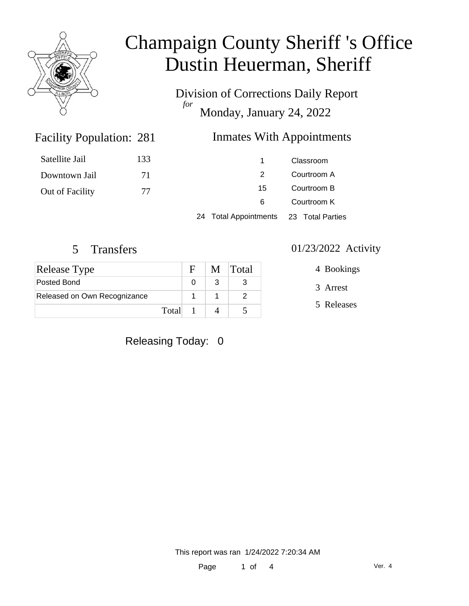

# Champaign County Sheriff 's Office Dustin Heuerman, Sheriff

Division of Corrections Daily Report *for* Monday, January 24, 2022

### **Inmates With Appointments**

| Satellite Jail  | 133 |                                        | Classroom                  |  |
|-----------------|-----|----------------------------------------|----------------------------|--|
| Downtown Jail   | 71  |                                        | Courtroom A                |  |
| Out of Facility | 77  | 15                                     | Courtroom B<br>Courtroom K |  |
|                 |     | 6                                      |                            |  |
|                 |     | 24 Total Appointments 23 Total Parties |                            |  |

Facility Population: 281

| Release Type                 |       | E. | M Total |
|------------------------------|-------|----|---------|
| Posted Bond                  |       |    |         |
| Released on Own Recognizance |       |    |         |
|                              | Total |    |         |

Releasing Today: 0

#### 5 Transfers 01/23/2022 Activity

4 Bookings

3 Arrest

5 Releases

This report was ran 1/24/2022 7:20:34 AM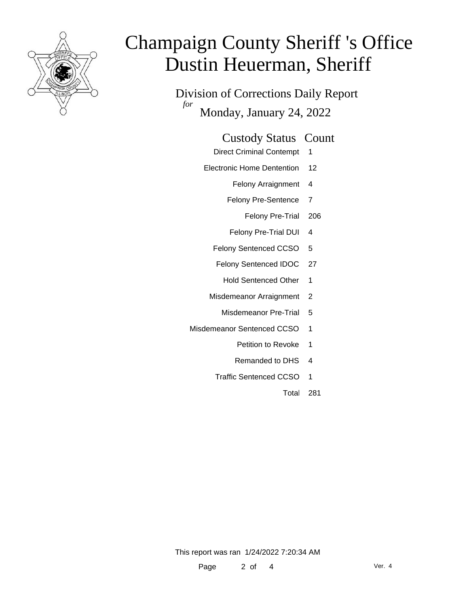

# Champaign County Sheriff 's Office Dustin Heuerman, Sheriff

Division of Corrections Daily Report *for* Monday, January 24, 2022

#### Custody Status Count

- Direct Criminal Contempt 1
- Electronic Home Dentention 12
	- Felony Arraignment 4
	- Felony Pre-Sentence 7
		- Felony Pre-Trial 206
	- Felony Pre-Trial DUI 4
	- Felony Sentenced CCSO 5
	- Felony Sentenced IDOC 27
		- Hold Sentenced Other 1
	- Misdemeanor Arraignment 2
		- Misdemeanor Pre-Trial 5
- Misdemeanor Sentenced CCSO 1
	- Petition to Revoke 1
	- Remanded to DHS 4
	- Traffic Sentenced CCSO 1
		- Total 281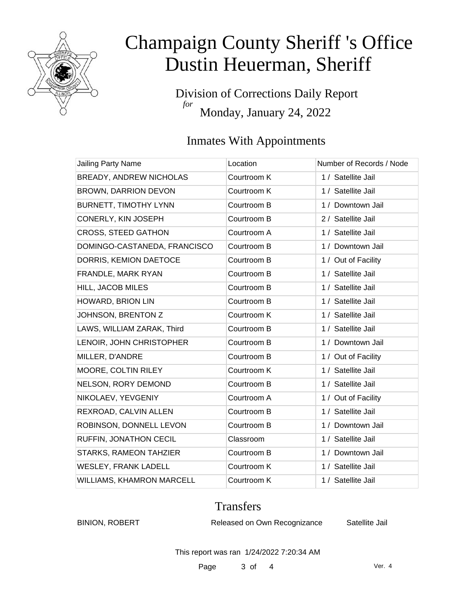

# Champaign County Sheriff 's Office Dustin Heuerman, Sheriff

Division of Corrections Daily Report *for* Monday, January 24, 2022

### Inmates With Appointments

| Jailing Party Name           | Location    | Number of Records / Node |
|------------------------------|-------------|--------------------------|
| BREADY, ANDREW NICHOLAS      | Courtroom K | 1 / Satellite Jail       |
| <b>BROWN, DARRION DEVON</b>  | Courtroom K | 1 / Satellite Jail       |
| BURNETT, TIMOTHY LYNN        | Courtroom B | 1 / Downtown Jail        |
| CONERLY, KIN JOSEPH          | Courtroom B | 2 / Satellite Jail       |
| <b>CROSS, STEED GATHON</b>   | Courtroom A | 1 / Satellite Jail       |
| DOMINGO-CASTANEDA, FRANCISCO | Courtroom B | 1 / Downtown Jail        |
| DORRIS, KEMION DAETOCE       | Courtroom B | 1 / Out of Facility      |
| FRANDLE, MARK RYAN           | Courtroom B | 1 / Satellite Jail       |
| HILL, JACOB MILES            | Courtroom B | 1 / Satellite Jail       |
| HOWARD, BRION LIN            | Courtroom B | 1 / Satellite Jail       |
| JOHNSON, BRENTON Z           | Courtroom K | 1 / Satellite Jail       |
| LAWS, WILLIAM ZARAK, Third   | Courtroom B | 1 / Satellite Jail       |
| LENOIR, JOHN CHRISTOPHER     | Courtroom B | 1 / Downtown Jail        |
| MILLER, D'ANDRE              | Courtroom B | 1 / Out of Facility      |
| MOORE, COLTIN RILEY          | Courtroom K | 1 / Satellite Jail       |
| NELSON, RORY DEMOND          | Courtroom B | 1 / Satellite Jail       |
| NIKOLAEV, YEVGENIY           | Courtroom A | 1 / Out of Facility      |
| REXROAD, CALVIN ALLEN        | Courtroom B | 1 / Satellite Jail       |
| ROBINSON, DONNELL LEVON      | Courtroom B | 1 / Downtown Jail        |
| RUFFIN, JONATHON CECIL       | Classroom   | 1 / Satellite Jail       |
| STARKS, RAMEON TAHZIER       | Courtroom B | 1 / Downtown Jail        |
| WESLEY, FRANK LADELL         | Courtroom K | 1 / Satellite Jail       |
| WILLIAMS, KHAMRON MARCELL    | Courtroom K | 1 / Satellite Jail       |

### **Transfers**

BINION, ROBERT Released on Own Recognizance Satellite Jail

This report was ran 1/24/2022 7:20:34 AM